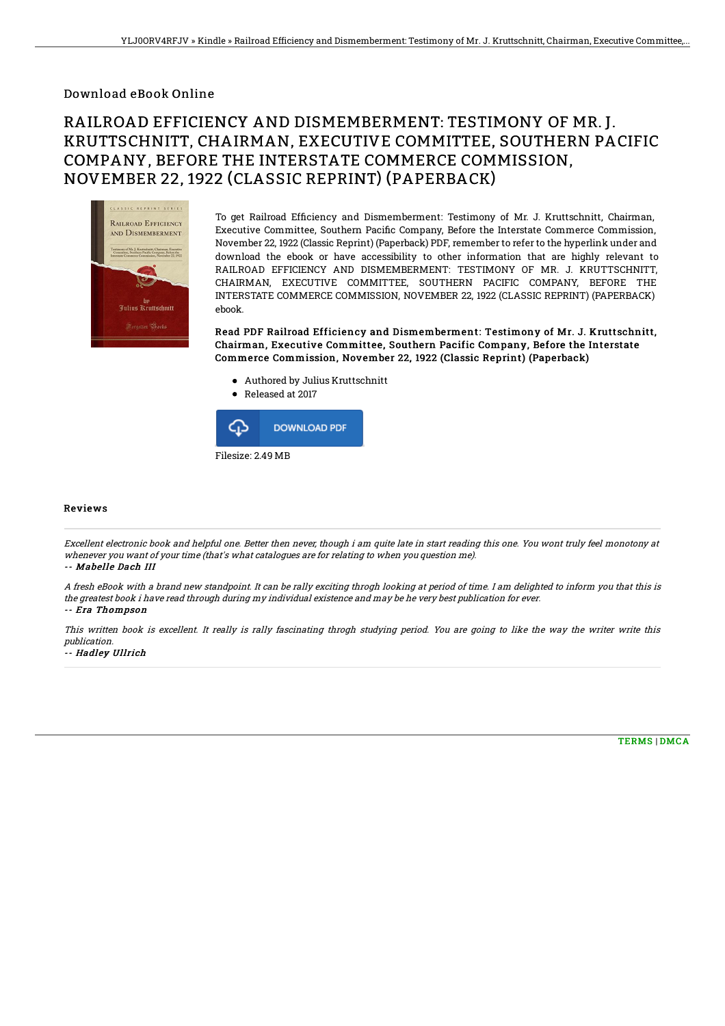## Download eBook Online

# RAILROAD EFFICIENCY AND DISMEMBERMENT: TESTIMONY OF MR. J. KRUTTSCHNITT, CHAIRMAN, EXECUTIVE COMMITTEE, SOUTHERN PACIFIC COMPANY, BEFORE THE INTERSTATE COMMERCE COMMISSION, NOVEMBER 22, 1922 (CLASSIC REPRINT) (PAPERBACK)



To get Railroad Efficiency and Dismemberment: Testimony of Mr. J. Kruttschnitt, Chairman, Executive Committee, Southern Pacific Company, Before the Interstate Commerce Commission, November 22, 1922 (Classic Reprint) (Paperback) PDF, remember to refer to the hyperlink under and download the ebook or have accessibility to other information that are highly relevant to RAILROAD EFFICIENCY AND DISMEMBERMENT: TESTIMONY OF MR. J. KRUTTSCHNITT, CHAIRMAN, EXECUTIVE COMMITTEE, SOUTHERN PACIFIC COMPANY, BEFORE THE INTERSTATE COMMERCE COMMISSION, NOVEMBER 22, 1922 (CLASSIC REPRINT) (PAPERBACK) ebook.

Read PDF Railroad Efficiency and Dismemberment: Testimony of Mr. J. Kruttschnitt, Chairman, Executive Committee, Southern Pacific Company, Before the Interstate Commerce Commission, November 22, 1922 (Classic Reprint) (Paperback)

- Authored by Julius Kruttschnitt
- Released at 2017



#### Reviews

Excellent electronic book and helpful one. Better then never, though i am quite late in start reading this one. You wont truly feel monotony at whenever you want of your time (that's what catalogues are for relating to when you question me).

#### -- Mabelle Dach III

A fresh eBook with <sup>a</sup> brand new standpoint. It can be rally exciting throgh looking at period of time. I am delighted to inform you that this is the greatest book i have read through during my individual existence and may be he very best publication for ever.

### -- Era Thompson

This written book is excellent. It really is rally fascinating throgh studying period. You are going to like the way the writer write this publication. -- Hadley Ullrich